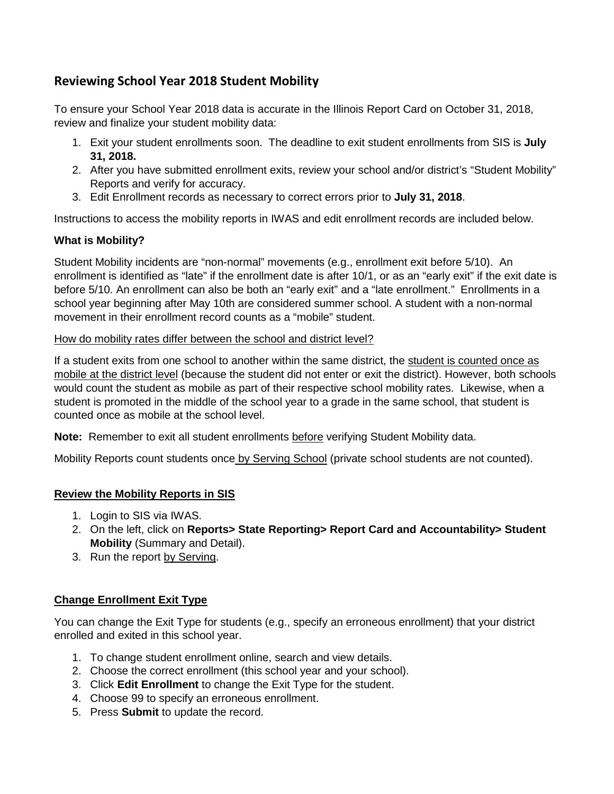# **Reviewing School Year 2018 Student Mobility**

To ensure your School Year 2018 data is accurate in the Illinois Report Card on October 31, 2018, review and finalize your student mobility data:

- 1. Exit your student enrollments soon. The deadline to exit student enrollments from SIS is **July 31, 2018.**
- 2. After you have submitted enrollment exits, review your school and/or district's "Student Mobility" Reports and verify for accuracy.
- 3. Edit Enrollment records as necessary to correct errors prior to **July 31, 2018**.

Instructions to access the mobility reports in IWAS and edit enrollment records are included below.

## **What is Mobility?**

Student Mobility incidents are "non-normal" movements (e.g., enrollment exit before 5/10). An enrollment is identified as "late" if the enrollment date is after 10/1, or as an "early exit" if the exit date is before 5/10. An enrollment can also be both an "early exit" and a "late enrollment." Enrollments in a school year beginning after May 10th are considered summer school. A student with a non-normal movement in their enrollment record counts as a "mobile" student.

#### How do mobility rates differ between the school and district level?

If a student exits from one school to another within the same district, the student is counted once as mobile at the district level (because the student did not enter or exit the district). However, both schools would count the student as mobile as part of their respective school mobility rates. Likewise, when a student is promoted in the middle of the school year to a grade in the same school, that student is counted once as mobile at the school level.

**Note:** Remember to exit all student enrollments before verifying Student Mobility data.

Mobility Reports count students once by Serving School (private school students are not counted).

## **Review the Mobility Reports in SIS**

- 1. Login to SIS via IWAS.
- 2. On the left, click on **Reports> State Reporting> Report Card and Accountability> Student Mobility** (Summary and Detail).
- 3. Run the report by Serving.

## **Change Enrollment Exit Type**

You can change the Exit Type for students (e.g., specify an erroneous enrollment) that your district enrolled and exited in this school year.

- 1. To change student enrollment online, search and view details.
- 2. Choose the correct enrollment (this school year and your school).
- 3. Click **Edit Enrollment** to change the Exit Type for the student.
- 4. Choose 99 to specify an erroneous enrollment.
- 5. Press **Submit** to update the record.